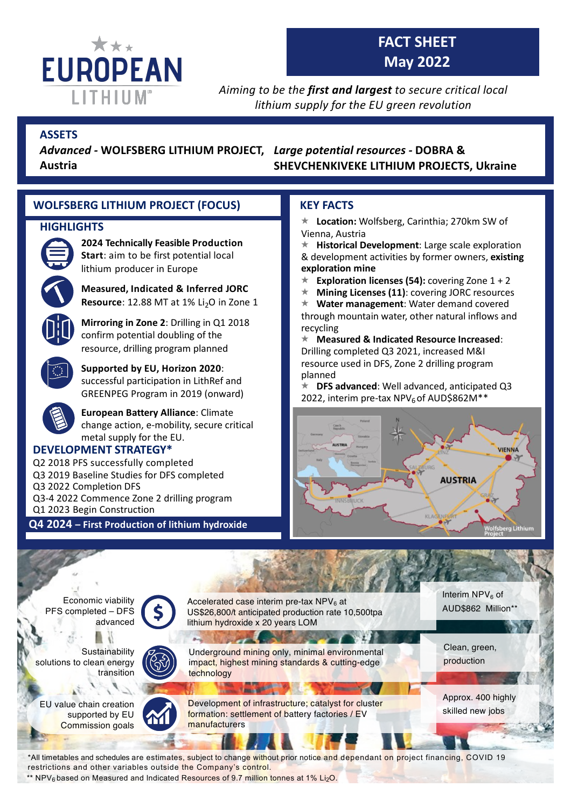

# **FACT SHEET May 2022**

*Aiming to be the first and largest to secure critical local lithium supply for the EU green revolution*

## **ASSETS**

*Large potential resources -* **DOBRA &**  *Advanced -* **WOLFSBERG LITHIUM PROJECT, Austria**

**SHEVCHENKIVEKE LITHIUM PROJECTS, Ukraine**

## **WOLFSBERG LITHIUM PROJECT (FOCUS)**

## **HIGHLIGHTS**



## **2024 Technically Feasible Production**

**Start**: aim to be first potential local lithium producer in Europe



**Measured, Indicated & Inferred JORC Resource**: 12.88 MT at 1% Li<sub>2</sub>O in Zone 1

**Mirroring in Zone 2**: Drilling in Q1 2018 confirm potential doubling of the resource, drilling program planned



**Supported by EU, Horizon 2020**: successful participation in LithRef and GREENPEG Program in 2019 (onward)

**European Battery Alliance**: Climate change action, e-mobility, secure critical metal supply for the EU.

## **DEVELOPMENT STRATEGY\***

Q2 2018 PFS successfully completed Q3 2019 Baseline Studies for DFS completed Q3 2022 Completion DFS Q3-4 2022 Commence Zone 2 drilling program Q1 2023 Begin Construction

**Q4 2024 – First Production of lithium hydroxide**

## **KEY FACTS**

**★ Location: Wolfsberg, Carinthia; 270km SW of** Vienna, Austria

**K** Historical Development: Large scale exploration & development activities by former owners, **existing exploration mine**

- **Exploration licenses (54):** covering Zone 1 + 2
- **★ Mining Licenses (11): covering JORC resources**
- **Water management: Water demand covered**
- through mountain water, other natural inflows and recycling

« **Measured & Indicated Resource Increased**: Drilling completed Q3 2021, increased M&I resource used in DFS, Zone 2 drilling program planned

**DFS advanced:** Well advanced, anticipated Q3 2022, interim pre-tax NPV<sub>6</sub> of AUD\$862M\*\*





restrictions and other variables outside the Company's control.

\*\* NPV<sub>6</sub> based on Measured and Indicated Resources of 9.7 million tonnes at 1% Li<sub>2</sub>O.